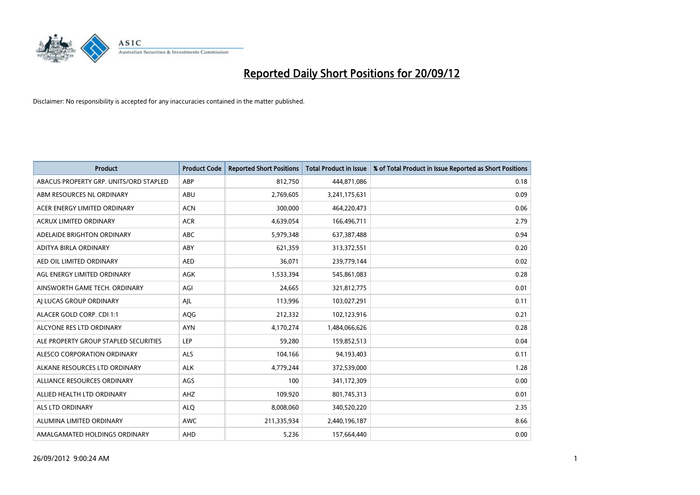

| <b>Product</b>                         | <b>Product Code</b> | <b>Reported Short Positions</b> | <b>Total Product in Issue</b> | % of Total Product in Issue Reported as Short Positions |
|----------------------------------------|---------------------|---------------------------------|-------------------------------|---------------------------------------------------------|
| ABACUS PROPERTY GRP. UNITS/ORD STAPLED | ABP                 | 812,750                         | 444,871,086                   | 0.18                                                    |
| ABM RESOURCES NL ORDINARY              | ABU                 | 2,769,605                       | 3,241,175,631                 | 0.09                                                    |
| ACER ENERGY LIMITED ORDINARY           | <b>ACN</b>          | 300,000                         | 464,220,473                   | 0.06                                                    |
| ACRUX LIMITED ORDINARY                 | <b>ACR</b>          | 4,639,054                       | 166,496,711                   | 2.79                                                    |
| ADELAIDE BRIGHTON ORDINARY             | <b>ABC</b>          | 5,979,348                       | 637, 387, 488                 | 0.94                                                    |
| ADITYA BIRLA ORDINARY                  | ABY                 | 621,359                         | 313,372,551                   | 0.20                                                    |
| AED OIL LIMITED ORDINARY               | <b>AED</b>          | 36,071                          | 239,779,144                   | 0.02                                                    |
| AGL ENERGY LIMITED ORDINARY            | <b>AGK</b>          | 1,533,394                       | 545,861,083                   | 0.28                                                    |
| AINSWORTH GAME TECH. ORDINARY          | AGI                 | 24,665                          | 321,812,775                   | 0.01                                                    |
| AI LUCAS GROUP ORDINARY                | AJL                 | 113,996                         | 103,027,291                   | 0.11                                                    |
| ALACER GOLD CORP. CDI 1:1              | AQG                 | 212,332                         | 102,123,916                   | 0.21                                                    |
| ALCYONE RES LTD ORDINARY               | <b>AYN</b>          | 4,170,274                       | 1,484,066,626                 | 0.28                                                    |
| ALE PROPERTY GROUP STAPLED SECURITIES  | LEP                 | 59,280                          | 159,852,513                   | 0.04                                                    |
| ALESCO CORPORATION ORDINARY            | ALS                 | 104,166                         | 94,193,403                    | 0.11                                                    |
| ALKANE RESOURCES LTD ORDINARY          | <b>ALK</b>          | 4,779,244                       | 372,539,000                   | 1.28                                                    |
| ALLIANCE RESOURCES ORDINARY            | AGS                 | 100                             | 341,172,309                   | 0.00                                                    |
| ALLIED HEALTH LTD ORDINARY             | AHZ                 | 109,920                         | 801,745,313                   | 0.01                                                    |
| <b>ALS LTD ORDINARY</b>                | <b>ALQ</b>          | 8,008,060                       | 340,520,220                   | 2.35                                                    |
| ALUMINA LIMITED ORDINARY               | <b>AWC</b>          | 211,335,934                     | 2,440,196,187                 | 8.66                                                    |
| AMALGAMATED HOLDINGS ORDINARY          | <b>AHD</b>          | 5,236                           | 157,664,440                   | 0.00                                                    |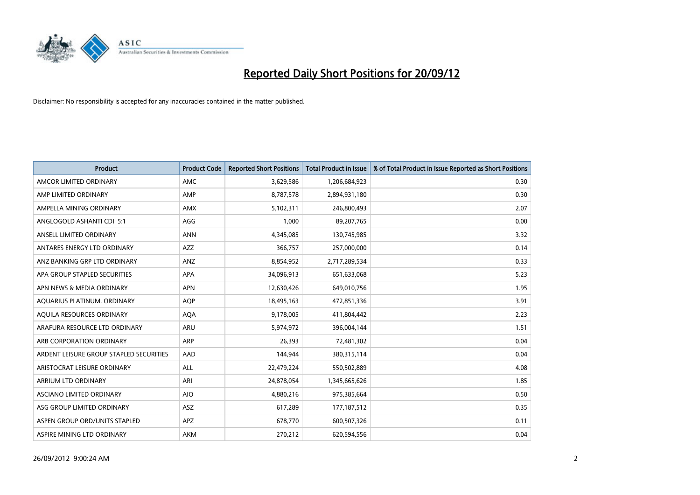

| <b>Product</b>                          | <b>Product Code</b> | <b>Reported Short Positions</b> | <b>Total Product in Issue</b> | % of Total Product in Issue Reported as Short Positions |
|-----------------------------------------|---------------------|---------------------------------|-------------------------------|---------------------------------------------------------|
| AMCOR LIMITED ORDINARY                  | <b>AMC</b>          | 3,629,586                       | 1,206,684,923                 | 0.30                                                    |
| AMP LIMITED ORDINARY                    | AMP                 | 8,787,578                       | 2,894,931,180                 | 0.30                                                    |
| AMPELLA MINING ORDINARY                 | <b>AMX</b>          | 5,102,311                       | 246,800,493                   | 2.07                                                    |
| ANGLOGOLD ASHANTI CDI 5:1               | AGG                 | 1,000                           | 89,207,765                    | 0.00                                                    |
| ANSELL LIMITED ORDINARY                 | <b>ANN</b>          | 4,345,085                       | 130,745,985                   | 3.32                                                    |
| ANTARES ENERGY LTD ORDINARY             | <b>AZZ</b>          | 366,757                         | 257,000,000                   | 0.14                                                    |
| ANZ BANKING GRP LTD ORDINARY            | ANZ                 | 8,854,952                       | 2,717,289,534                 | 0.33                                                    |
| APA GROUP STAPLED SECURITIES            | <b>APA</b>          | 34,096,913                      | 651,633,068                   | 5.23                                                    |
| APN NEWS & MEDIA ORDINARY               | <b>APN</b>          | 12,630,426                      | 649,010,756                   | 1.95                                                    |
| AQUARIUS PLATINUM. ORDINARY             | <b>AOP</b>          | 18,495,163                      | 472,851,336                   | 3.91                                                    |
| AQUILA RESOURCES ORDINARY               | <b>AQA</b>          | 9,178,005                       | 411,804,442                   | 2.23                                                    |
| ARAFURA RESOURCE LTD ORDINARY           | <b>ARU</b>          | 5,974,972                       | 396,004,144                   | 1.51                                                    |
| ARB CORPORATION ORDINARY                | <b>ARP</b>          | 26,393                          | 72,481,302                    | 0.04                                                    |
| ARDENT LEISURE GROUP STAPLED SECURITIES | AAD                 | 144,944                         | 380,315,114                   | 0.04                                                    |
| ARISTOCRAT LEISURE ORDINARY             | <b>ALL</b>          | 22,479,224                      | 550,502,889                   | 4.08                                                    |
| ARRIUM LTD ORDINARY                     | ARI                 | 24,878,054                      | 1,345,665,626                 | 1.85                                                    |
| ASCIANO LIMITED ORDINARY                | <b>AIO</b>          | 4,880,216                       | 975,385,664                   | 0.50                                                    |
| ASG GROUP LIMITED ORDINARY              | <b>ASZ</b>          | 617,289                         | 177, 187, 512                 | 0.35                                                    |
| ASPEN GROUP ORD/UNITS STAPLED           | <b>APZ</b>          | 678,770                         | 600,507,326                   | 0.11                                                    |
| ASPIRE MINING LTD ORDINARY              | <b>AKM</b>          | 270,212                         | 620,594,556                   | 0.04                                                    |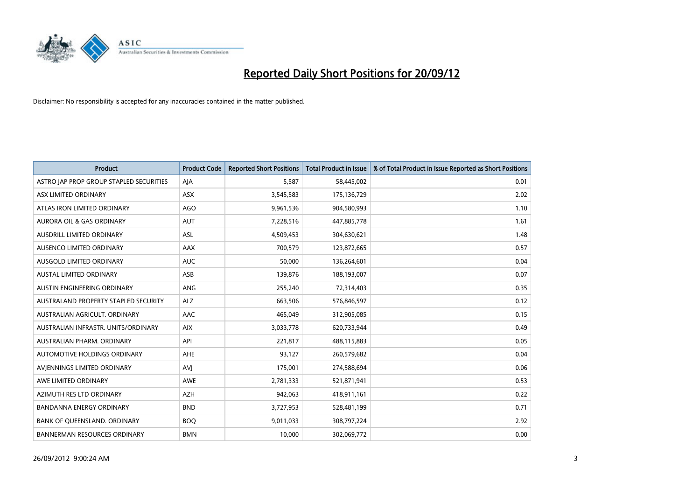

| <b>Product</b>                          | <b>Product Code</b> | <b>Reported Short Positions</b> | <b>Total Product in Issue</b> | % of Total Product in Issue Reported as Short Positions |
|-----------------------------------------|---------------------|---------------------------------|-------------------------------|---------------------------------------------------------|
| ASTRO JAP PROP GROUP STAPLED SECURITIES | AJA                 | 5,587                           | 58,445,002                    | 0.01                                                    |
| ASX LIMITED ORDINARY                    | <b>ASX</b>          | 3,545,583                       | 175,136,729                   | 2.02                                                    |
| ATLAS IRON LIMITED ORDINARY             | <b>AGO</b>          | 9,961,536                       | 904,580,993                   | 1.10                                                    |
| AURORA OIL & GAS ORDINARY               | <b>AUT</b>          | 7,228,516                       | 447,885,778                   | 1.61                                                    |
| AUSDRILL LIMITED ORDINARY               | ASL                 | 4,509,453                       | 304,630,621                   | 1.48                                                    |
| AUSENCO LIMITED ORDINARY                | AAX                 | 700,579                         | 123,872,665                   | 0.57                                                    |
| AUSGOLD LIMITED ORDINARY                | <b>AUC</b>          | 50,000                          | 136,264,601                   | 0.04                                                    |
| AUSTAL LIMITED ORDINARY                 | ASB                 | 139,876                         | 188,193,007                   | 0.07                                                    |
| AUSTIN ENGINEERING ORDINARY             | <b>ANG</b>          | 255,240                         | 72,314,403                    | 0.35                                                    |
| AUSTRALAND PROPERTY STAPLED SECURITY    | <b>ALZ</b>          | 663,506                         | 576,846,597                   | 0.12                                                    |
| AUSTRALIAN AGRICULT. ORDINARY           | AAC                 | 465,049                         | 312,905,085                   | 0.15                                                    |
| AUSTRALIAN INFRASTR, UNITS/ORDINARY     | <b>AIX</b>          | 3,033,778                       | 620,733,944                   | 0.49                                                    |
| AUSTRALIAN PHARM. ORDINARY              | API                 | 221,817                         | 488,115,883                   | 0.05                                                    |
| AUTOMOTIVE HOLDINGS ORDINARY            | AHE                 | 93,127                          | 260,579,682                   | 0.04                                                    |
| AVIENNINGS LIMITED ORDINARY             | AVI                 | 175,001                         | 274,588,694                   | 0.06                                                    |
| AWE LIMITED ORDINARY                    | <b>AWE</b>          | 2,781,333                       | 521,871,941                   | 0.53                                                    |
| AZIMUTH RES LTD ORDINARY                | <b>AZH</b>          | 942,063                         | 418,911,161                   | 0.22                                                    |
| BANDANNA ENERGY ORDINARY                | <b>BND</b>          | 3,727,953                       | 528,481,199                   | 0.71                                                    |
| BANK OF QUEENSLAND. ORDINARY            | <b>BOQ</b>          | 9,011,033                       | 308,797,224                   | 2.92                                                    |
| <b>BANNERMAN RESOURCES ORDINARY</b>     | <b>BMN</b>          | 10,000                          | 302,069,772                   | 0.00                                                    |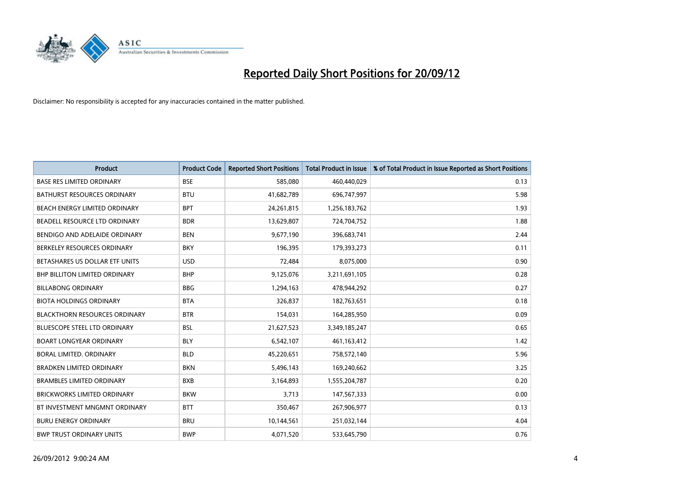

| <b>Product</b>                       | <b>Product Code</b> | <b>Reported Short Positions</b> | <b>Total Product in Issue</b> | % of Total Product in Issue Reported as Short Positions |
|--------------------------------------|---------------------|---------------------------------|-------------------------------|---------------------------------------------------------|
| <b>BASE RES LIMITED ORDINARY</b>     | <b>BSE</b>          | 585,080                         | 460,440,029                   | 0.13                                                    |
| <b>BATHURST RESOURCES ORDINARY</b>   | <b>BTU</b>          | 41,682,789                      | 696,747,997                   | 5.98                                                    |
| BEACH ENERGY LIMITED ORDINARY        | <b>BPT</b>          | 24,261,815                      | 1,256,183,762                 | 1.93                                                    |
| BEADELL RESOURCE LTD ORDINARY        | <b>BDR</b>          | 13,629,807                      | 724,704,752                   | 1.88                                                    |
| BENDIGO AND ADELAIDE ORDINARY        | <b>BEN</b>          | 9,677,190                       | 396,683,741                   | 2.44                                                    |
| BERKELEY RESOURCES ORDINARY          | <b>BKY</b>          | 196,395                         | 179,393,273                   | 0.11                                                    |
| BETASHARES US DOLLAR ETF UNITS       | <b>USD</b>          | 72,484                          | 8,075,000                     | 0.90                                                    |
| BHP BILLITON LIMITED ORDINARY        | <b>BHP</b>          | 9,125,076                       | 3,211,691,105                 | 0.28                                                    |
| <b>BILLABONG ORDINARY</b>            | <b>BBG</b>          | 1,294,163                       | 478,944,292                   | 0.27                                                    |
| <b>BIOTA HOLDINGS ORDINARY</b>       | <b>BTA</b>          | 326,837                         | 182,763,651                   | 0.18                                                    |
| <b>BLACKTHORN RESOURCES ORDINARY</b> | <b>BTR</b>          | 154,031                         | 164,285,950                   | 0.09                                                    |
| <b>BLUESCOPE STEEL LTD ORDINARY</b>  | <b>BSL</b>          | 21,627,523                      | 3,349,185,247                 | 0.65                                                    |
| <b>BOART LONGYEAR ORDINARY</b>       | <b>BLY</b>          | 6,542,107                       | 461,163,412                   | 1.42                                                    |
| <b>BORAL LIMITED, ORDINARY</b>       | <b>BLD</b>          | 45,220,651                      | 758,572,140                   | 5.96                                                    |
| <b>BRADKEN LIMITED ORDINARY</b>      | <b>BKN</b>          | 5,496,143                       | 169,240,662                   | 3.25                                                    |
| <b>BRAMBLES LIMITED ORDINARY</b>     | <b>BXB</b>          | 3,164,893                       | 1,555,204,787                 | 0.20                                                    |
| BRICKWORKS LIMITED ORDINARY          | <b>BKW</b>          | 3,713                           | 147,567,333                   | 0.00                                                    |
| BT INVESTMENT MNGMNT ORDINARY        | <b>BTT</b>          | 350,467                         | 267,906,977                   | 0.13                                                    |
| <b>BURU ENERGY ORDINARY</b>          | <b>BRU</b>          | 10,144,561                      | 251,032,144                   | 4.04                                                    |
| <b>BWP TRUST ORDINARY UNITS</b>      | <b>BWP</b>          | 4,071,520                       | 533,645,790                   | 0.76                                                    |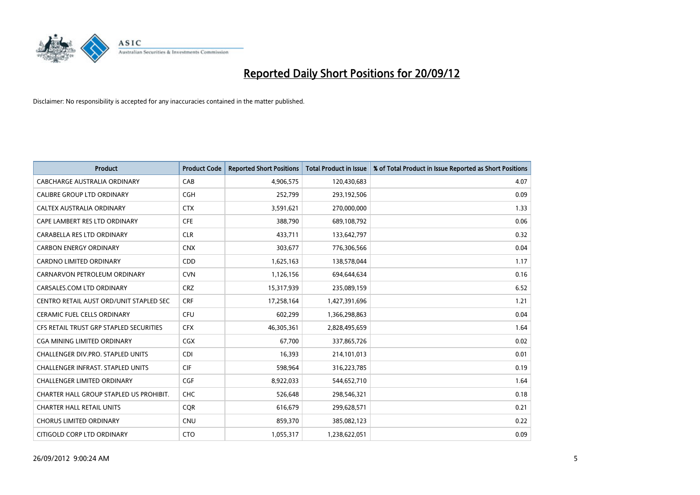

| <b>Product</b>                           | <b>Product Code</b> | <b>Reported Short Positions</b> | <b>Total Product in Issue</b> | % of Total Product in Issue Reported as Short Positions |
|------------------------------------------|---------------------|---------------------------------|-------------------------------|---------------------------------------------------------|
| <b>CABCHARGE AUSTRALIA ORDINARY</b>      | CAB                 | 4,906,575                       | 120,430,683                   | 4.07                                                    |
| <b>CALIBRE GROUP LTD ORDINARY</b>        | <b>CGH</b>          | 252,799                         | 293,192,506                   | 0.09                                                    |
| <b>CALTEX AUSTRALIA ORDINARY</b>         | <b>CTX</b>          | 3,591,621                       | 270,000,000                   | 1.33                                                    |
| CAPE LAMBERT RES LTD ORDINARY            | <b>CFE</b>          | 388,790                         | 689,108,792                   | 0.06                                                    |
| CARABELLA RES LTD ORDINARY               | <b>CLR</b>          | 433,711                         | 133,642,797                   | 0.32                                                    |
| <b>CARBON ENERGY ORDINARY</b>            | <b>CNX</b>          | 303,677                         | 776,306,566                   | 0.04                                                    |
| <b>CARDNO LIMITED ORDINARY</b>           | CDD                 | 1,625,163                       | 138,578,044                   | 1.17                                                    |
| CARNARVON PETROLEUM ORDINARY             | <b>CVN</b>          | 1,126,156                       | 694,644,634                   | 0.16                                                    |
| CARSALES.COM LTD ORDINARY                | <b>CRZ</b>          | 15,317,939                      | 235,089,159                   | 6.52                                                    |
| CENTRO RETAIL AUST ORD/UNIT STAPLED SEC  | <b>CRF</b>          | 17,258,164                      | 1,427,391,696                 | 1.21                                                    |
| <b>CERAMIC FUEL CELLS ORDINARY</b>       | <b>CFU</b>          | 602,299                         | 1,366,298,863                 | 0.04                                                    |
| CFS RETAIL TRUST GRP STAPLED SECURITIES  | <b>CFX</b>          | 46,305,361                      | 2,828,495,659                 | 1.64                                                    |
| <b>CGA MINING LIMITED ORDINARY</b>       | <b>CGX</b>          | 67,700                          | 337,865,726                   | 0.02                                                    |
| CHALLENGER DIV.PRO. STAPLED UNITS        | <b>CDI</b>          | 16.393                          | 214,101,013                   | 0.01                                                    |
| <b>CHALLENGER INFRAST, STAPLED UNITS</b> | <b>CIF</b>          | 598,964                         | 316,223,785                   | 0.19                                                    |
| <b>CHALLENGER LIMITED ORDINARY</b>       | <b>CGF</b>          | 8,922,033                       | 544,652,710                   | 1.64                                                    |
| CHARTER HALL GROUP STAPLED US PROHIBIT.  | <b>CHC</b>          | 526,648                         | 298,546,321                   | 0.18                                                    |
| <b>CHARTER HALL RETAIL UNITS</b>         | <b>COR</b>          | 616,679                         | 299,628,571                   | 0.21                                                    |
| <b>CHORUS LIMITED ORDINARY</b>           | <b>CNU</b>          | 859,370                         | 385,082,123                   | 0.22                                                    |
| CITIGOLD CORP LTD ORDINARY               | <b>CTO</b>          | 1,055,317                       | 1,238,622,051                 | 0.09                                                    |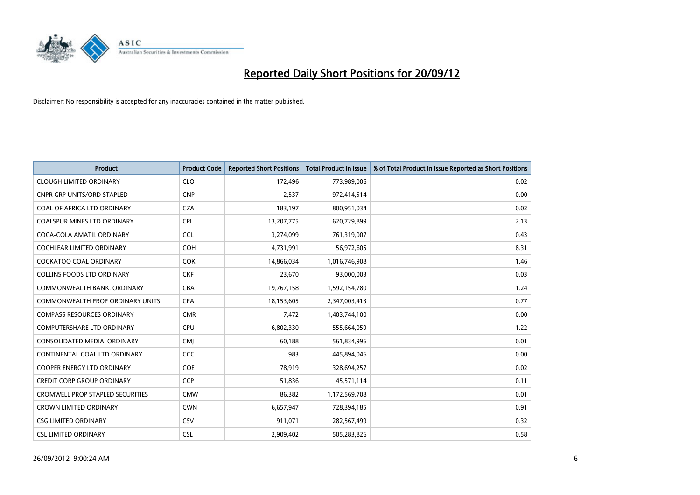

| <b>Product</b>                          | <b>Product Code</b> | <b>Reported Short Positions</b> | <b>Total Product in Issue</b> | % of Total Product in Issue Reported as Short Positions |
|-----------------------------------------|---------------------|---------------------------------|-------------------------------|---------------------------------------------------------|
| <b>CLOUGH LIMITED ORDINARY</b>          | <b>CLO</b>          | 172,496                         | 773,989,006                   | 0.02                                                    |
| <b>CNPR GRP UNITS/ORD STAPLED</b>       | <b>CNP</b>          | 2,537                           | 972,414,514                   | 0.00                                                    |
| COAL OF AFRICA LTD ORDINARY             | <b>CZA</b>          | 183,197                         | 800,951,034                   | 0.02                                                    |
| COALSPUR MINES LTD ORDINARY             | <b>CPL</b>          | 13,207,775                      | 620,729,899                   | 2.13                                                    |
| COCA-COLA AMATIL ORDINARY               | <b>CCL</b>          | 3,274,099                       | 761,319,007                   | 0.43                                                    |
| <b>COCHLEAR LIMITED ORDINARY</b>        | <b>COH</b>          | 4,731,991                       | 56,972,605                    | 8.31                                                    |
| <b>COCKATOO COAL ORDINARY</b>           | <b>COK</b>          | 14,866,034                      | 1,016,746,908                 | 1.46                                                    |
| <b>COLLINS FOODS LTD ORDINARY</b>       | <b>CKF</b>          | 23,670                          | 93,000,003                    | 0.03                                                    |
| COMMONWEALTH BANK, ORDINARY             | <b>CBA</b>          | 19,767,158                      | 1,592,154,780                 | 1.24                                                    |
| <b>COMMONWEALTH PROP ORDINARY UNITS</b> | <b>CPA</b>          | 18,153,605                      | 2,347,003,413                 | 0.77                                                    |
| <b>COMPASS RESOURCES ORDINARY</b>       | <b>CMR</b>          | 7,472                           | 1,403,744,100                 | 0.00                                                    |
| <b>COMPUTERSHARE LTD ORDINARY</b>       | CPU                 | 6,802,330                       | 555,664,059                   | 1.22                                                    |
| CONSOLIDATED MEDIA. ORDINARY            | <b>CMI</b>          | 60,188                          | 561,834,996                   | 0.01                                                    |
| CONTINENTAL COAL LTD ORDINARY           | CCC                 | 983                             | 445,894,046                   | 0.00                                                    |
| <b>COOPER ENERGY LTD ORDINARY</b>       | <b>COE</b>          | 78,919                          | 328,694,257                   | 0.02                                                    |
| <b>CREDIT CORP GROUP ORDINARY</b>       | <b>CCP</b>          | 51,836                          | 45,571,114                    | 0.11                                                    |
| <b>CROMWELL PROP STAPLED SECURITIES</b> | <b>CMW</b>          | 86,382                          | 1,172,569,708                 | 0.01                                                    |
| <b>CROWN LIMITED ORDINARY</b>           | <b>CWN</b>          | 6,657,947                       | 728,394,185                   | 0.91                                                    |
| <b>CSG LIMITED ORDINARY</b>             | CSV                 | 911,071                         | 282,567,499                   | 0.32                                                    |
| <b>CSL LIMITED ORDINARY</b>             | <b>CSL</b>          | 2,909,402                       | 505,283,826                   | 0.58                                                    |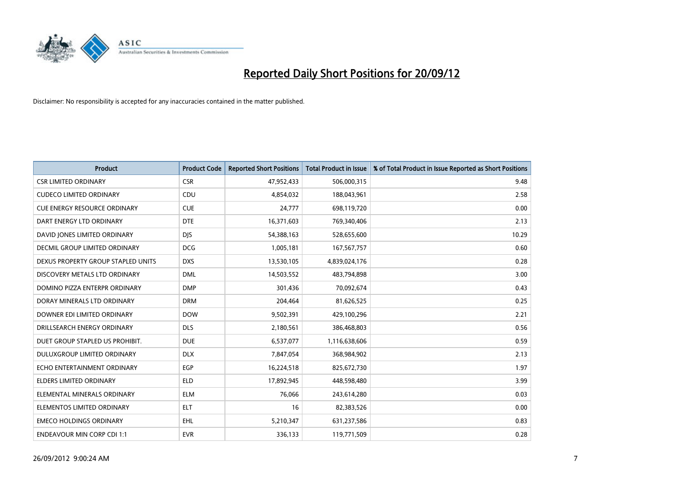

| <b>Product</b>                      | <b>Product Code</b> | <b>Reported Short Positions</b> | <b>Total Product in Issue</b> | % of Total Product in Issue Reported as Short Positions |
|-------------------------------------|---------------------|---------------------------------|-------------------------------|---------------------------------------------------------|
| <b>CSR LIMITED ORDINARY</b>         | <b>CSR</b>          | 47,952,433                      | 506,000,315                   | 9.48                                                    |
| <b>CUDECO LIMITED ORDINARY</b>      | CDU                 | 4,854,032                       | 188,043,961                   | 2.58                                                    |
| <b>CUE ENERGY RESOURCE ORDINARY</b> | <b>CUE</b>          | 24,777                          | 698,119,720                   | 0.00                                                    |
| DART ENERGY LTD ORDINARY            | <b>DTE</b>          | 16,371,603                      | 769,340,406                   | 2.13                                                    |
| DAVID JONES LIMITED ORDINARY        | <b>DJS</b>          | 54,388,163                      | 528,655,600                   | 10.29                                                   |
| DECMIL GROUP LIMITED ORDINARY       | <b>DCG</b>          | 1,005,181                       | 167,567,757                   | 0.60                                                    |
| DEXUS PROPERTY GROUP STAPLED UNITS  | <b>DXS</b>          | 13,530,105                      | 4,839,024,176                 | 0.28                                                    |
| DISCOVERY METALS LTD ORDINARY       | <b>DML</b>          | 14,503,552                      | 483,794,898                   | 3.00                                                    |
| DOMINO PIZZA ENTERPR ORDINARY       | <b>DMP</b>          | 301,436                         | 70,092,674                    | 0.43                                                    |
| DORAY MINERALS LTD ORDINARY         | <b>DRM</b>          | 204,464                         | 81,626,525                    | 0.25                                                    |
| DOWNER EDI LIMITED ORDINARY         | <b>DOW</b>          | 9,502,391                       | 429,100,296                   | 2.21                                                    |
| DRILLSEARCH ENERGY ORDINARY         | <b>DLS</b>          | 2,180,561                       | 386,468,803                   | 0.56                                                    |
| DUET GROUP STAPLED US PROHIBIT.     | <b>DUE</b>          | 6,537,077                       | 1,116,638,606                 | 0.59                                                    |
| DULUXGROUP LIMITED ORDINARY         | <b>DLX</b>          | 7,847,054                       | 368,984,902                   | 2.13                                                    |
| ECHO ENTERTAINMENT ORDINARY         | <b>EGP</b>          | 16,224,518                      | 825,672,730                   | 1.97                                                    |
| ELDERS LIMITED ORDINARY             | <b>ELD</b>          | 17,892,945                      | 448,598,480                   | 3.99                                                    |
| ELEMENTAL MINERALS ORDINARY         | <b>ELM</b>          | 76,066                          | 243,614,280                   | 0.03                                                    |
| ELEMENTOS LIMITED ORDINARY          | <b>ELT</b>          | 16                              | 82,383,526                    | 0.00                                                    |
| <b>EMECO HOLDINGS ORDINARY</b>      | EHL                 | 5,210,347                       | 631,237,586                   | 0.83                                                    |
| <b>ENDEAVOUR MIN CORP CDI 1:1</b>   | <b>EVR</b>          | 336,133                         | 119,771,509                   | 0.28                                                    |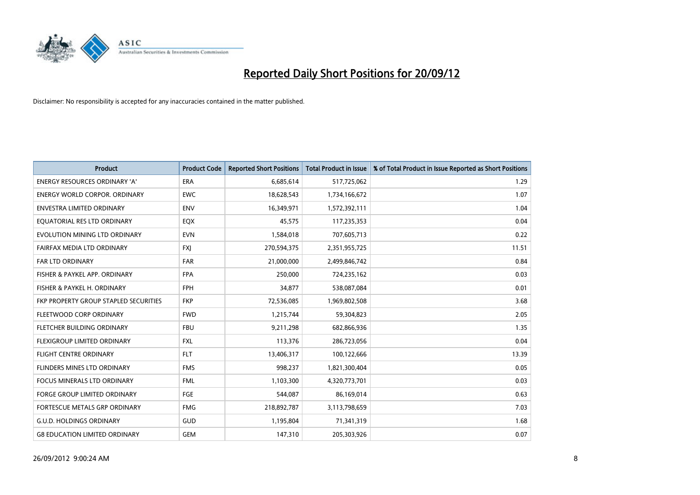

| <b>Product</b>                               | <b>Product Code</b> | <b>Reported Short Positions</b> | <b>Total Product in Issue</b> | % of Total Product in Issue Reported as Short Positions |
|----------------------------------------------|---------------------|---------------------------------|-------------------------------|---------------------------------------------------------|
| <b>ENERGY RESOURCES ORDINARY 'A'</b>         | <b>ERA</b>          | 6,685,614                       | 517,725,062                   | 1.29                                                    |
| <b>ENERGY WORLD CORPOR. ORDINARY</b>         | <b>EWC</b>          | 18,628,543                      | 1,734,166,672                 | 1.07                                                    |
| <b>ENVESTRA LIMITED ORDINARY</b>             | <b>ENV</b>          | 16,349,971                      | 1,572,392,111                 | 1.04                                                    |
| EQUATORIAL RES LTD ORDINARY                  | EQX                 | 45,575                          | 117,235,353                   | 0.04                                                    |
| EVOLUTION MINING LTD ORDINARY                | <b>EVN</b>          | 1,584,018                       | 707,605,713                   | 0.22                                                    |
| FAIRFAX MEDIA LTD ORDINARY                   | <b>FXI</b>          | 270,594,375                     | 2,351,955,725                 | 11.51                                                   |
| <b>FAR LTD ORDINARY</b>                      | <b>FAR</b>          | 21,000,000                      | 2,499,846,742                 | 0.84                                                    |
| FISHER & PAYKEL APP. ORDINARY                | <b>FPA</b>          | 250,000                         | 724,235,162                   | 0.03                                                    |
| FISHER & PAYKEL H. ORDINARY                  | <b>FPH</b>          | 34,877                          | 538,087,084                   | 0.01                                                    |
| <b>FKP PROPERTY GROUP STAPLED SECURITIES</b> | <b>FKP</b>          | 72,536,085                      | 1,969,802,508                 | 3.68                                                    |
| FLEETWOOD CORP ORDINARY                      | <b>FWD</b>          | 1,215,744                       | 59,304,823                    | 2.05                                                    |
| FLETCHER BUILDING ORDINARY                   | <b>FBU</b>          | 9,211,298                       | 682,866,936                   | 1.35                                                    |
| <b>FLEXIGROUP LIMITED ORDINARY</b>           | <b>FXL</b>          | 113,376                         | 286,723,056                   | 0.04                                                    |
| <b>FLIGHT CENTRE ORDINARY</b>                | <b>FLT</b>          | 13,406,317                      | 100,122,666                   | 13.39                                                   |
| FLINDERS MINES LTD ORDINARY                  | <b>FMS</b>          | 998,237                         | 1,821,300,404                 | 0.05                                                    |
| FOCUS MINERALS LTD ORDINARY                  | <b>FML</b>          | 1,103,300                       | 4,320,773,701                 | 0.03                                                    |
| <b>FORGE GROUP LIMITED ORDINARY</b>          | FGE                 | 544,087                         | 86,169,014                    | 0.63                                                    |
| FORTESCUE METALS GRP ORDINARY                | <b>FMG</b>          | 218,892,787                     | 3,113,798,659                 | 7.03                                                    |
| <b>G.U.D. HOLDINGS ORDINARY</b>              | GUD                 | 1,195,804                       | 71,341,319                    | 1.68                                                    |
| <b>G8 EDUCATION LIMITED ORDINARY</b>         | <b>GEM</b>          | 147,310                         | 205,303,926                   | 0.07                                                    |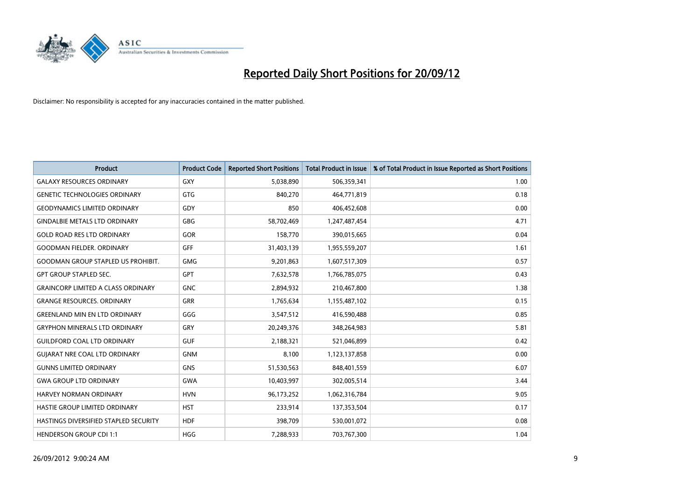

| <b>Product</b>                            | <b>Product Code</b> | <b>Reported Short Positions</b> | <b>Total Product in Issue</b> | % of Total Product in Issue Reported as Short Positions |
|-------------------------------------------|---------------------|---------------------------------|-------------------------------|---------------------------------------------------------|
| <b>GALAXY RESOURCES ORDINARY</b>          | GXY                 | 5,038,890                       | 506,359,341                   | 1.00                                                    |
| <b>GENETIC TECHNOLOGIES ORDINARY</b>      | GTG                 | 840,270                         | 464,771,819                   | 0.18                                                    |
| <b>GEODYNAMICS LIMITED ORDINARY</b>       | GDY                 | 850                             | 406,452,608                   | 0.00                                                    |
| <b>GINDALBIE METALS LTD ORDINARY</b>      | <b>GBG</b>          | 58,702,469                      | 1,247,487,454                 | 4.71                                                    |
| <b>GOLD ROAD RES LTD ORDINARY</b>         | <b>GOR</b>          | 158,770                         | 390,015,665                   | 0.04                                                    |
| <b>GOODMAN FIELDER, ORDINARY</b>          | <b>GFF</b>          | 31,403,139                      | 1,955,559,207                 | 1.61                                                    |
| <b>GOODMAN GROUP STAPLED US PROHIBIT.</b> | <b>GMG</b>          | 9,201,863                       | 1,607,517,309                 | 0.57                                                    |
| <b>GPT GROUP STAPLED SEC.</b>             | <b>GPT</b>          | 7,632,578                       | 1,766,785,075                 | 0.43                                                    |
| <b>GRAINCORP LIMITED A CLASS ORDINARY</b> | <b>GNC</b>          | 2,894,932                       | 210,467,800                   | 1.38                                                    |
| <b>GRANGE RESOURCES, ORDINARY</b>         | <b>GRR</b>          | 1,765,634                       | 1,155,487,102                 | 0.15                                                    |
| <b>GREENLAND MIN EN LTD ORDINARY</b>      | GGG                 | 3,547,512                       | 416,590,488                   | 0.85                                                    |
| <b>GRYPHON MINERALS LTD ORDINARY</b>      | GRY                 | 20,249,376                      | 348,264,983                   | 5.81                                                    |
| <b>GUILDFORD COAL LTD ORDINARY</b>        | <b>GUF</b>          | 2,188,321                       | 521,046,899                   | 0.42                                                    |
| <b>GUIARAT NRE COAL LTD ORDINARY</b>      | <b>GNM</b>          | 8,100                           | 1,123,137,858                 | 0.00                                                    |
| <b>GUNNS LIMITED ORDINARY</b>             | <b>GNS</b>          | 51,530,563                      | 848,401,559                   | 6.07                                                    |
| <b>GWA GROUP LTD ORDINARY</b>             | <b>GWA</b>          | 10,403,997                      | 302,005,514                   | 3.44                                                    |
| HARVEY NORMAN ORDINARY                    | <b>HVN</b>          | 96,173,252                      | 1,062,316,784                 | 9.05                                                    |
| HASTIE GROUP LIMITED ORDINARY             | <b>HST</b>          | 233,914                         | 137,353,504                   | 0.17                                                    |
| HASTINGS DIVERSIFIED STAPLED SECURITY     | <b>HDF</b>          | 398,709                         | 530,001,072                   | 0.08                                                    |
| <b>HENDERSON GROUP CDI 1:1</b>            | <b>HGG</b>          | 7,288,933                       | 703,767,300                   | 1.04                                                    |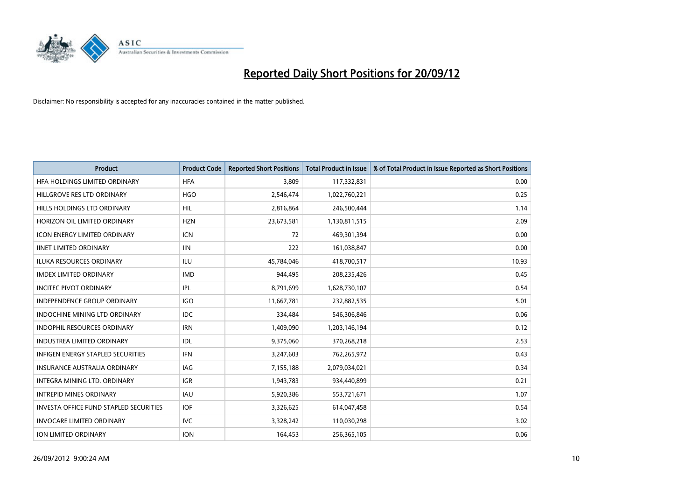

| <b>Product</b>                                | <b>Product Code</b> | <b>Reported Short Positions</b> | <b>Total Product in Issue</b> | % of Total Product in Issue Reported as Short Positions |
|-----------------------------------------------|---------------------|---------------------------------|-------------------------------|---------------------------------------------------------|
| HFA HOLDINGS LIMITED ORDINARY                 | <b>HFA</b>          | 3,809                           | 117,332,831                   | 0.00                                                    |
| HILLGROVE RES LTD ORDINARY                    | <b>HGO</b>          | 2,546,474                       | 1,022,760,221                 | 0.25                                                    |
| HILLS HOLDINGS LTD ORDINARY                   | <b>HIL</b>          | 2,816,864                       | 246,500,444                   | 1.14                                                    |
| HORIZON OIL LIMITED ORDINARY                  | <b>HZN</b>          | 23,673,581                      | 1,130,811,515                 | 2.09                                                    |
| <b>ICON ENERGY LIMITED ORDINARY</b>           | <b>ICN</b>          | 72                              | 469,301,394                   | 0.00                                                    |
| <b>IINET LIMITED ORDINARY</b>                 | <b>IIN</b>          | 222                             | 161,038,847                   | 0.00                                                    |
| <b>ILUKA RESOURCES ORDINARY</b>               | ILU                 | 45,784,046                      | 418,700,517                   | 10.93                                                   |
| <b>IMDEX LIMITED ORDINARY</b>                 | <b>IMD</b>          | 944,495                         | 208,235,426                   | 0.45                                                    |
| <b>INCITEC PIVOT ORDINARY</b>                 | IPL                 | 8,791,699                       | 1,628,730,107                 | 0.54                                                    |
| <b>INDEPENDENCE GROUP ORDINARY</b>            | <b>IGO</b>          | 11,667,781                      | 232,882,535                   | 5.01                                                    |
| INDOCHINE MINING LTD ORDINARY                 | <b>IDC</b>          | 334,484                         | 546,306,846                   | 0.06                                                    |
| <b>INDOPHIL RESOURCES ORDINARY</b>            | <b>IRN</b>          | 1,409,090                       | 1,203,146,194                 | 0.12                                                    |
| INDUSTREA LIMITED ORDINARY                    | IDL                 | 9,375,060                       | 370,268,218                   | 2.53                                                    |
| <b>INFIGEN ENERGY STAPLED SECURITIES</b>      | <b>IFN</b>          | 3,247,603                       | 762,265,972                   | 0.43                                                    |
| <b>INSURANCE AUSTRALIA ORDINARY</b>           | IAG                 | 7,155,188                       | 2,079,034,021                 | 0.34                                                    |
| INTEGRA MINING LTD. ORDINARY                  | <b>IGR</b>          | 1,943,783                       | 934,440,899                   | 0.21                                                    |
| <b>INTREPID MINES ORDINARY</b>                | <b>IAU</b>          | 5,920,386                       | 553,721,671                   | 1.07                                                    |
| <b>INVESTA OFFICE FUND STAPLED SECURITIES</b> | <b>IOF</b>          | 3,326,625                       | 614,047,458                   | 0.54                                                    |
| <b>INVOCARE LIMITED ORDINARY</b>              | IVC                 | 3,328,242                       | 110,030,298                   | 3.02                                                    |
| <b>ION LIMITED ORDINARY</b>                   | <b>ION</b>          | 164,453                         | 256,365,105                   | 0.06                                                    |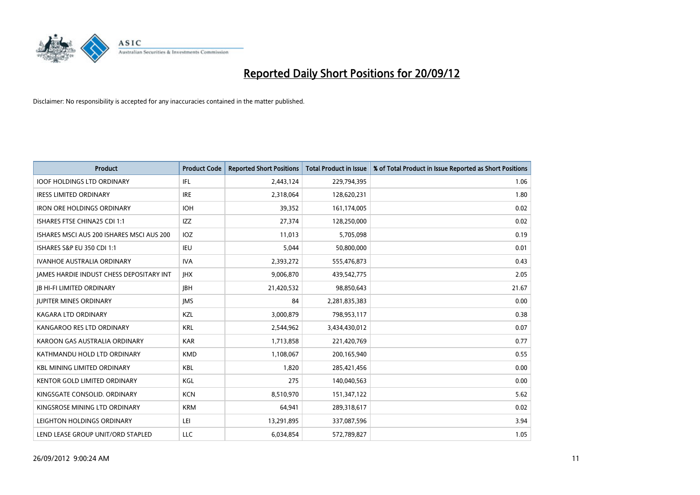

| <b>Product</b>                            | <b>Product Code</b> | <b>Reported Short Positions</b> | <b>Total Product in Issue</b> | % of Total Product in Issue Reported as Short Positions |
|-------------------------------------------|---------------------|---------------------------------|-------------------------------|---------------------------------------------------------|
| <b>IOOF HOLDINGS LTD ORDINARY</b>         | IFL.                | 2,443,124                       | 229,794,395                   | 1.06                                                    |
| <b>IRESS LIMITED ORDINARY</b>             | <b>IRE</b>          | 2,318,064                       | 128,620,231                   | 1.80                                                    |
| <b>IRON ORE HOLDINGS ORDINARY</b>         | <b>IOH</b>          | 39,352                          | 161,174,005                   | 0.02                                                    |
| ISHARES FTSE CHINA25 CDI 1:1              | IZZ                 | 27,374                          | 128,250,000                   | 0.02                                                    |
| ISHARES MSCI AUS 200 ISHARES MSCI AUS 200 | <b>IOZ</b>          | 11,013                          | 5,705,098                     | 0.19                                                    |
| ISHARES S&P EU 350 CDI 1:1                | <b>IEU</b>          | 5,044                           | 50,800,000                    | 0.01                                                    |
| <b>IVANHOE AUSTRALIA ORDINARY</b>         | <b>IVA</b>          | 2,393,272                       | 555,476,873                   | 0.43                                                    |
| JAMES HARDIE INDUST CHESS DEPOSITARY INT  | <b>IHX</b>          | 9,006,870                       | 439,542,775                   | 2.05                                                    |
| <b>IB HI-FI LIMITED ORDINARY</b>          | <b>IBH</b>          | 21,420,532                      | 98,850,643                    | 21.67                                                   |
| <b>JUPITER MINES ORDINARY</b>             | <b>IMS</b>          | 84                              | 2,281,835,383                 | 0.00                                                    |
| <b>KAGARA LTD ORDINARY</b>                | <b>KZL</b>          | 3,000,879                       | 798,953,117                   | 0.38                                                    |
| KANGAROO RES LTD ORDINARY                 | <b>KRL</b>          | 2,544,962                       | 3,434,430,012                 | 0.07                                                    |
| KAROON GAS AUSTRALIA ORDINARY             | <b>KAR</b>          | 1,713,858                       | 221,420,769                   | 0.77                                                    |
| KATHMANDU HOLD LTD ORDINARY               | <b>KMD</b>          | 1,108,067                       | 200,165,940                   | 0.55                                                    |
| <b>KBL MINING LIMITED ORDINARY</b>        | <b>KBL</b>          | 1.820                           | 285,421,456                   | 0.00                                                    |
| <b>KENTOR GOLD LIMITED ORDINARY</b>       | KGL                 | 275                             | 140,040,563                   | 0.00                                                    |
| KINGSGATE CONSOLID. ORDINARY              | <b>KCN</b>          | 8,510,970                       | 151,347,122                   | 5.62                                                    |
| KINGSROSE MINING LTD ORDINARY             | <b>KRM</b>          | 64,941                          | 289,318,617                   | 0.02                                                    |
| LEIGHTON HOLDINGS ORDINARY                | LEI                 | 13,291,895                      | 337,087,596                   | 3.94                                                    |
| LEND LEASE GROUP UNIT/ORD STAPLED         | LLC                 | 6,034,854                       | 572,789,827                   | 1.05                                                    |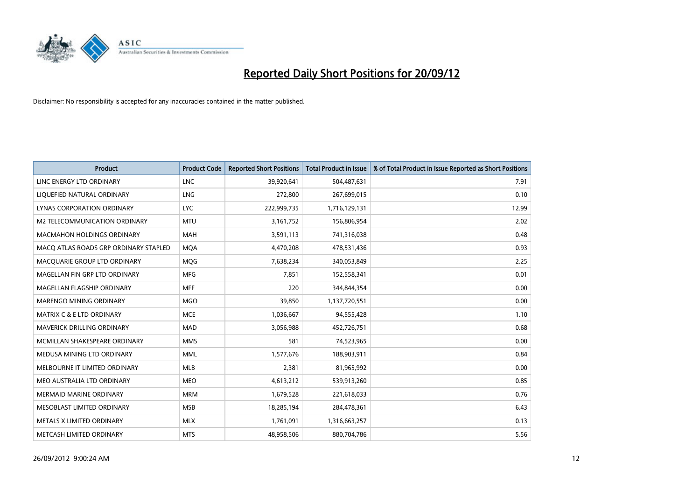

| <b>Product</b>                        | <b>Product Code</b> | <b>Reported Short Positions</b> | <b>Total Product in Issue</b> | % of Total Product in Issue Reported as Short Positions |
|---------------------------------------|---------------------|---------------------------------|-------------------------------|---------------------------------------------------------|
| LINC ENERGY LTD ORDINARY              | <b>LNC</b>          | 39,920,641                      | 504,487,631                   | 7.91                                                    |
| LIQUEFIED NATURAL ORDINARY            | LNG                 | 272,800                         | 267,699,015                   | 0.10                                                    |
| LYNAS CORPORATION ORDINARY            | <b>LYC</b>          | 222,999,735                     | 1,716,129,131                 | 12.99                                                   |
| M2 TELECOMMUNICATION ORDINARY         | <b>MTU</b>          | 3,161,752                       | 156,806,954                   | 2.02                                                    |
| <b>MACMAHON HOLDINGS ORDINARY</b>     | <b>MAH</b>          | 3,591,113                       | 741,316,038                   | 0.48                                                    |
| MACQ ATLAS ROADS GRP ORDINARY STAPLED | <b>MOA</b>          | 4,470,208                       | 478,531,436                   | 0.93                                                    |
| MACQUARIE GROUP LTD ORDINARY          | <b>MOG</b>          | 7,638,234                       | 340,053,849                   | 2.25                                                    |
| MAGELLAN FIN GRP LTD ORDINARY         | <b>MFG</b>          | 7,851                           | 152,558,341                   | 0.01                                                    |
| MAGELLAN FLAGSHIP ORDINARY            | <b>MFF</b>          | 220                             | 344,844,354                   | 0.00                                                    |
| MARENGO MINING ORDINARY               | <b>MGO</b>          | 39,850                          | 1,137,720,551                 | 0.00                                                    |
| MATRIX C & E LTD ORDINARY             | <b>MCE</b>          | 1,036,667                       | 94,555,428                    | 1.10                                                    |
| MAVERICK DRILLING ORDINARY            | <b>MAD</b>          | 3,056,988                       | 452,726,751                   | 0.68                                                    |
| MCMILLAN SHAKESPEARE ORDINARY         | <b>MMS</b>          | 581                             | 74,523,965                    | 0.00                                                    |
| MEDUSA MINING LTD ORDINARY            | <b>MML</b>          | 1,577,676                       | 188,903,911                   | 0.84                                                    |
| MELBOURNE IT LIMITED ORDINARY         | <b>MLB</b>          | 2,381                           | 81,965,992                    | 0.00                                                    |
| MEO AUSTRALIA LTD ORDINARY            | <b>MEO</b>          | 4,613,212                       | 539,913,260                   | 0.85                                                    |
| <b>MERMAID MARINE ORDINARY</b>        | <b>MRM</b>          | 1,679,528                       | 221,618,033                   | 0.76                                                    |
| MESOBLAST LIMITED ORDINARY            | <b>MSB</b>          | 18,285,194                      | 284,478,361                   | 6.43                                                    |
| METALS X LIMITED ORDINARY             | <b>MLX</b>          | 1,761,091                       | 1,316,663,257                 | 0.13                                                    |
| METCASH LIMITED ORDINARY              | <b>MTS</b>          | 48,958,506                      | 880,704,786                   | 5.56                                                    |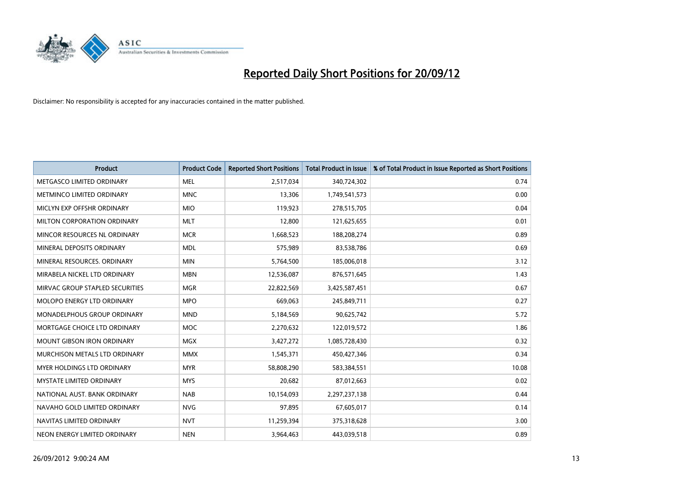

| <b>Product</b>                       | <b>Product Code</b> | <b>Reported Short Positions</b> | <b>Total Product in Issue</b> | % of Total Product in Issue Reported as Short Positions |
|--------------------------------------|---------------------|---------------------------------|-------------------------------|---------------------------------------------------------|
| METGASCO LIMITED ORDINARY            | <b>MEL</b>          | 2,517,034                       | 340,724,302                   | 0.74                                                    |
| <b>METMINCO LIMITED ORDINARY</b>     | <b>MNC</b>          | 13,306                          | 1,749,541,573                 | 0.00                                                    |
| MICLYN EXP OFFSHR ORDINARY           | <b>MIO</b>          | 119,923                         | 278,515,705                   | 0.04                                                    |
| MILTON CORPORATION ORDINARY          | <b>MLT</b>          | 12,800                          | 121,625,655                   | 0.01                                                    |
| MINCOR RESOURCES NL ORDINARY         | <b>MCR</b>          | 1,668,523                       | 188,208,274                   | 0.89                                                    |
| MINERAL DEPOSITS ORDINARY            | <b>MDL</b>          | 575,989                         | 83,538,786                    | 0.69                                                    |
| MINERAL RESOURCES. ORDINARY          | <b>MIN</b>          | 5,764,500                       | 185,006,018                   | 3.12                                                    |
| MIRABELA NICKEL LTD ORDINARY         | <b>MBN</b>          | 12,536,087                      | 876,571,645                   | 1.43                                                    |
| MIRVAC GROUP STAPLED SECURITIES      | <b>MGR</b>          | 22,822,569                      | 3,425,587,451                 | 0.67                                                    |
| MOLOPO ENERGY LTD ORDINARY           | <b>MPO</b>          | 669,063                         | 245,849,711                   | 0.27                                                    |
| <b>MONADELPHOUS GROUP ORDINARY</b>   | <b>MND</b>          | 5,184,569                       | 90,625,742                    | 5.72                                                    |
| MORTGAGE CHOICE LTD ORDINARY         | <b>MOC</b>          | 2,270,632                       | 122,019,572                   | 1.86                                                    |
| <b>MOUNT GIBSON IRON ORDINARY</b>    | <b>MGX</b>          | 3,427,272                       | 1,085,728,430                 | 0.32                                                    |
| <b>MURCHISON METALS LTD ORDINARY</b> | <b>MMX</b>          | 1,545,371                       | 450,427,346                   | 0.34                                                    |
| <b>MYER HOLDINGS LTD ORDINARY</b>    | <b>MYR</b>          | 58,808,290                      | 583,384,551                   | 10.08                                                   |
| <b>MYSTATE LIMITED ORDINARY</b>      | <b>MYS</b>          | 20,682                          | 87,012,663                    | 0.02                                                    |
| NATIONAL AUST. BANK ORDINARY         | <b>NAB</b>          | 10,154,093                      | 2,297,237,138                 | 0.44                                                    |
| NAVAHO GOLD LIMITED ORDINARY         | <b>NVG</b>          | 97,895                          | 67,605,017                    | 0.14                                                    |
| NAVITAS LIMITED ORDINARY             | <b>NVT</b>          | 11,259,394                      | 375,318,628                   | 3.00                                                    |
| NEON ENERGY LIMITED ORDINARY         | <b>NEN</b>          | 3,964,463                       | 443,039,518                   | 0.89                                                    |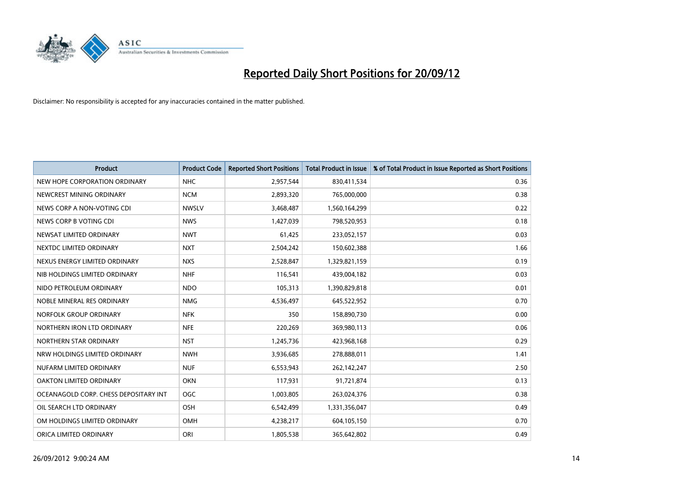

| <b>Product</b>                        | <b>Product Code</b> | <b>Reported Short Positions</b> | <b>Total Product in Issue</b> | % of Total Product in Issue Reported as Short Positions |
|---------------------------------------|---------------------|---------------------------------|-------------------------------|---------------------------------------------------------|
| NEW HOPE CORPORATION ORDINARY         | <b>NHC</b>          | 2,957,544                       | 830,411,534                   | 0.36                                                    |
| NEWCREST MINING ORDINARY              | <b>NCM</b>          | 2,893,320                       | 765,000,000                   | 0.38                                                    |
| NEWS CORP A NON-VOTING CDI            | <b>NWSLV</b>        | 3,468,487                       | 1,560,164,299                 | 0.22                                                    |
| NEWS CORP B VOTING CDI                | <b>NWS</b>          | 1,427,039                       | 798,520,953                   | 0.18                                                    |
| NEWSAT LIMITED ORDINARY               | <b>NWT</b>          | 61,425                          | 233,052,157                   | 0.03                                                    |
| NEXTDC LIMITED ORDINARY               | <b>NXT</b>          | 2,504,242                       | 150,602,388                   | 1.66                                                    |
| NEXUS ENERGY LIMITED ORDINARY         | <b>NXS</b>          | 2,528,847                       | 1,329,821,159                 | 0.19                                                    |
| NIB HOLDINGS LIMITED ORDINARY         | <b>NHF</b>          | 116,541                         | 439,004,182                   | 0.03                                                    |
| NIDO PETROLEUM ORDINARY               | <b>NDO</b>          | 105,313                         | 1,390,829,818                 | 0.01                                                    |
| NOBLE MINERAL RES ORDINARY            | <b>NMG</b>          | 4,536,497                       | 645,522,952                   | 0.70                                                    |
| NORFOLK GROUP ORDINARY                | <b>NFK</b>          | 350                             | 158,890,730                   | 0.00                                                    |
| NORTHERN IRON LTD ORDINARY            | <b>NFE</b>          | 220,269                         | 369,980,113                   | 0.06                                                    |
| NORTHERN STAR ORDINARY                | <b>NST</b>          | 1,245,736                       | 423,968,168                   | 0.29                                                    |
| NRW HOLDINGS LIMITED ORDINARY         | <b>NWH</b>          | 3,936,685                       | 278,888,011                   | 1.41                                                    |
| NUFARM LIMITED ORDINARY               | <b>NUF</b>          | 6,553,943                       | 262,142,247                   | 2.50                                                    |
| OAKTON LIMITED ORDINARY               | <b>OKN</b>          | 117,931                         | 91,721,874                    | 0.13                                                    |
| OCEANAGOLD CORP. CHESS DEPOSITARY INT | <b>OGC</b>          | 1,003,805                       | 263,024,376                   | 0.38                                                    |
| OIL SEARCH LTD ORDINARY               | OSH                 | 6,542,499                       | 1,331,356,047                 | 0.49                                                    |
| OM HOLDINGS LIMITED ORDINARY          | OMH                 | 4,238,217                       | 604,105,150                   | 0.70                                                    |
| ORICA LIMITED ORDINARY                | ORI                 | 1,805,538                       | 365,642,802                   | 0.49                                                    |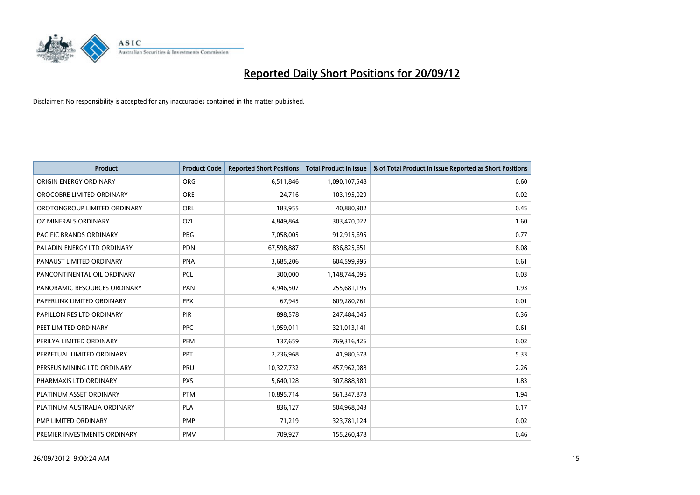

| <b>Product</b>               | <b>Product Code</b> | <b>Reported Short Positions</b> | <b>Total Product in Issue</b> | % of Total Product in Issue Reported as Short Positions |
|------------------------------|---------------------|---------------------------------|-------------------------------|---------------------------------------------------------|
| ORIGIN ENERGY ORDINARY       | <b>ORG</b>          | 6,511,846                       | 1,090,107,548                 | 0.60                                                    |
| OROCOBRE LIMITED ORDINARY    | <b>ORE</b>          | 24,716                          | 103,195,029                   | 0.02                                                    |
| OROTONGROUP LIMITED ORDINARY | ORL                 | 183,955                         | 40,880,902                    | 0.45                                                    |
| OZ MINERALS ORDINARY         | OZL                 | 4,849,864                       | 303,470,022                   | 1.60                                                    |
| PACIFIC BRANDS ORDINARY      | <b>PBG</b>          | 7,058,005                       | 912,915,695                   | 0.77                                                    |
| PALADIN ENERGY LTD ORDINARY  | <b>PDN</b>          | 67,598,887                      | 836,825,651                   | 8.08                                                    |
| PANAUST LIMITED ORDINARY     | <b>PNA</b>          | 3,685,206                       | 604,599,995                   | 0.61                                                    |
| PANCONTINENTAL OIL ORDINARY  | <b>PCL</b>          | 300,000                         | 1,148,744,096                 | 0.03                                                    |
| PANORAMIC RESOURCES ORDINARY | PAN                 | 4,946,507                       | 255,681,195                   | 1.93                                                    |
| PAPERLINX LIMITED ORDINARY   | <b>PPX</b>          | 67,945                          | 609,280,761                   | 0.01                                                    |
| PAPILLON RES LTD ORDINARY    | <b>PIR</b>          | 898,578                         | 247,484,045                   | 0.36                                                    |
| PEET LIMITED ORDINARY        | <b>PPC</b>          | 1,959,011                       | 321,013,141                   | 0.61                                                    |
| PERILYA LIMITED ORDINARY     | PEM                 | 137,659                         | 769,316,426                   | 0.02                                                    |
| PERPETUAL LIMITED ORDINARY   | PPT                 | 2,236,968                       | 41,980,678                    | 5.33                                                    |
| PERSEUS MINING LTD ORDINARY  | PRU                 | 10,327,732                      | 457,962,088                   | 2.26                                                    |
| PHARMAXIS LTD ORDINARY       | <b>PXS</b>          | 5,640,128                       | 307,888,389                   | 1.83                                                    |
| PLATINUM ASSET ORDINARY      | <b>PTM</b>          | 10,895,714                      | 561,347,878                   | 1.94                                                    |
| PLATINUM AUSTRALIA ORDINARY  | <b>PLA</b>          | 836,127                         | 504,968,043                   | 0.17                                                    |
| PMP LIMITED ORDINARY         | <b>PMP</b>          | 71,219                          | 323,781,124                   | 0.02                                                    |
| PREMIER INVESTMENTS ORDINARY | <b>PMV</b>          | 709,927                         | 155,260,478                   | 0.46                                                    |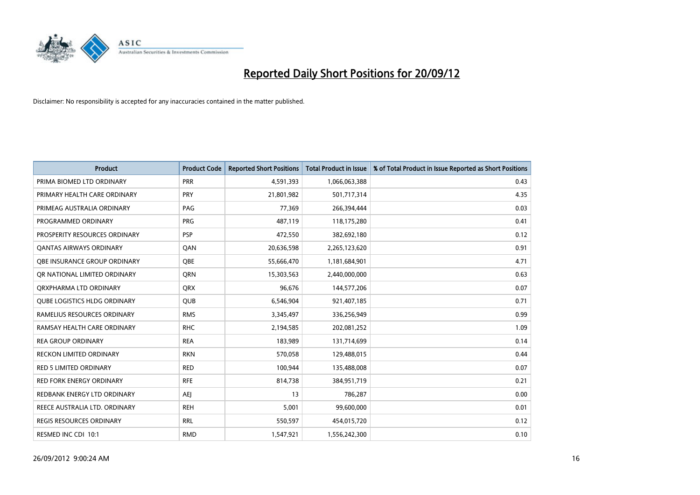

| <b>Product</b>                      | <b>Product Code</b> | <b>Reported Short Positions</b> | <b>Total Product in Issue</b> | % of Total Product in Issue Reported as Short Positions |
|-------------------------------------|---------------------|---------------------------------|-------------------------------|---------------------------------------------------------|
| PRIMA BIOMED LTD ORDINARY           | <b>PRR</b>          | 4,591,393                       | 1,066,063,388                 | 0.43                                                    |
| PRIMARY HEALTH CARE ORDINARY        | <b>PRY</b>          | 21,801,982                      | 501,717,314                   | 4.35                                                    |
| PRIMEAG AUSTRALIA ORDINARY          | PAG                 | 77,369                          | 266,394,444                   | 0.03                                                    |
| PROGRAMMED ORDINARY                 | <b>PRG</b>          | 487,119                         | 118,175,280                   | 0.41                                                    |
| PROSPERITY RESOURCES ORDINARY       | <b>PSP</b>          | 472,550                         | 382,692,180                   | 0.12                                                    |
| <b>QANTAS AIRWAYS ORDINARY</b>      | QAN                 | 20,636,598                      | 2,265,123,620                 | 0.91                                                    |
| OBE INSURANCE GROUP ORDINARY        | OBE                 | 55,666,470                      | 1,181,684,901                 | 4.71                                                    |
| OR NATIONAL LIMITED ORDINARY        | <b>ORN</b>          | 15,303,563                      | 2,440,000,000                 | 0.63                                                    |
| ORXPHARMA LTD ORDINARY              | <b>ORX</b>          | 96.676                          | 144,577,206                   | 0.07                                                    |
| <b>QUBE LOGISTICS HLDG ORDINARY</b> | <b>QUB</b>          | 6,546,904                       | 921,407,185                   | 0.71                                                    |
| RAMELIUS RESOURCES ORDINARY         | <b>RMS</b>          | 3,345,497                       | 336,256,949                   | 0.99                                                    |
| RAMSAY HEALTH CARE ORDINARY         | <b>RHC</b>          | 2,194,585                       | 202,081,252                   | 1.09                                                    |
| <b>REA GROUP ORDINARY</b>           | <b>REA</b>          | 183,989                         | 131,714,699                   | 0.14                                                    |
| <b>RECKON LIMITED ORDINARY</b>      | <b>RKN</b>          | 570,058                         | 129,488,015                   | 0.44                                                    |
| <b>RED 5 LIMITED ORDINARY</b>       | <b>RED</b>          | 100,944                         | 135,488,008                   | 0.07                                                    |
| RED FORK ENERGY ORDINARY            | <b>RFE</b>          | 814,738                         | 384,951,719                   | 0.21                                                    |
| REDBANK ENERGY LTD ORDINARY         | <b>AEI</b>          | 13                              | 786,287                       | 0.00                                                    |
| REECE AUSTRALIA LTD. ORDINARY       | <b>REH</b>          | 5,001                           | 99,600,000                    | 0.01                                                    |
| REGIS RESOURCES ORDINARY            | <b>RRL</b>          | 550,597                         | 454,015,720                   | 0.12                                                    |
| RESMED INC CDI 10:1                 | <b>RMD</b>          | 1,547,921                       | 1,556,242,300                 | 0.10                                                    |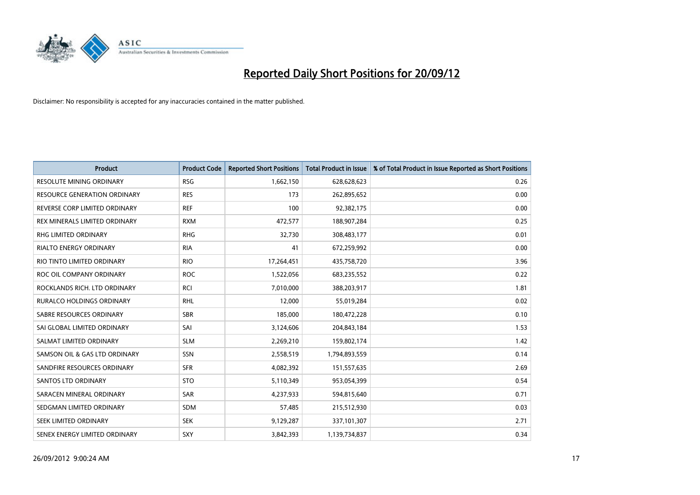

| <b>Product</b>                      | <b>Product Code</b> | <b>Reported Short Positions</b> | <b>Total Product in Issue</b> | % of Total Product in Issue Reported as Short Positions |
|-------------------------------------|---------------------|---------------------------------|-------------------------------|---------------------------------------------------------|
| <b>RESOLUTE MINING ORDINARY</b>     | <b>RSG</b>          | 1,662,150                       | 628,628,623                   | 0.26                                                    |
| <b>RESOURCE GENERATION ORDINARY</b> | <b>RES</b>          | 173                             | 262,895,652                   | 0.00                                                    |
| REVERSE CORP LIMITED ORDINARY       | <b>REF</b>          | 100                             | 92,382,175                    | 0.00                                                    |
| REX MINERALS LIMITED ORDINARY       | <b>RXM</b>          | 472,577                         | 188,907,284                   | 0.25                                                    |
| <b>RHG LIMITED ORDINARY</b>         | <b>RHG</b>          | 32,730                          | 308,483,177                   | 0.01                                                    |
| <b>RIALTO ENERGY ORDINARY</b>       | <b>RIA</b>          | 41                              | 672,259,992                   | 0.00                                                    |
| RIO TINTO LIMITED ORDINARY          | <b>RIO</b>          | 17,264,451                      | 435,758,720                   | 3.96                                                    |
| ROC OIL COMPANY ORDINARY            | <b>ROC</b>          | 1,522,056                       | 683,235,552                   | 0.22                                                    |
| ROCKLANDS RICH. LTD ORDINARY        | <b>RCI</b>          | 7,010,000                       | 388,203,917                   | 1.81                                                    |
| <b>RURALCO HOLDINGS ORDINARY</b>    | <b>RHL</b>          | 12,000                          | 55,019,284                    | 0.02                                                    |
| SABRE RESOURCES ORDINARY            | <b>SBR</b>          | 185,000                         | 180,472,228                   | 0.10                                                    |
| SAI GLOBAL LIMITED ORDINARY         | SAI                 | 3,124,606                       | 204,843,184                   | 1.53                                                    |
| SALMAT LIMITED ORDINARY             | <b>SLM</b>          | 2,269,210                       | 159,802,174                   | 1.42                                                    |
| SAMSON OIL & GAS LTD ORDINARY       | SSN                 | 2,558,519                       | 1,794,893,559                 | 0.14                                                    |
| SANDFIRE RESOURCES ORDINARY         | <b>SFR</b>          | 4,082,392                       | 151,557,635                   | 2.69                                                    |
| <b>SANTOS LTD ORDINARY</b>          | <b>STO</b>          | 5,110,349                       | 953,054,399                   | 0.54                                                    |
| SARACEN MINERAL ORDINARY            | SAR                 | 4,237,933                       | 594,815,640                   | 0.71                                                    |
| SEDGMAN LIMITED ORDINARY            | <b>SDM</b>          | 57,485                          | 215,512,930                   | 0.03                                                    |
| SEEK LIMITED ORDINARY               | <b>SEK</b>          | 9,129,287                       | 337,101,307                   | 2.71                                                    |
| SENEX ENERGY LIMITED ORDINARY       | SXY                 | 3,842,393                       | 1,139,734,837                 | 0.34                                                    |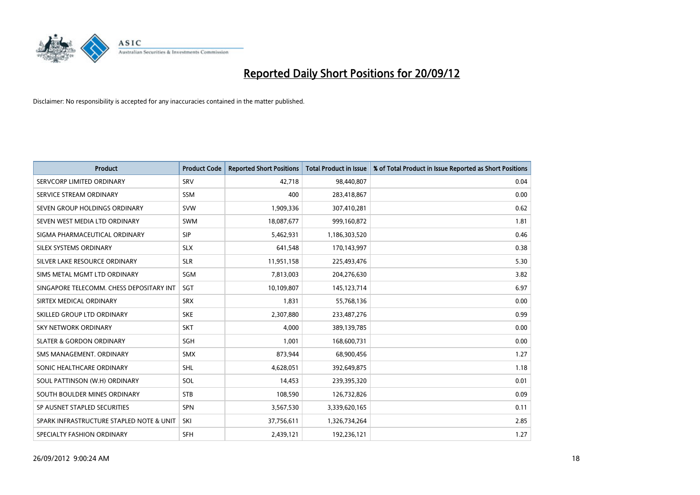

| <b>Product</b>                           | <b>Product Code</b> | <b>Reported Short Positions</b> | <b>Total Product in Issue</b> | % of Total Product in Issue Reported as Short Positions |
|------------------------------------------|---------------------|---------------------------------|-------------------------------|---------------------------------------------------------|
| SERVCORP LIMITED ORDINARY                | SRV                 | 42.718                          | 98,440,807                    | 0.04                                                    |
| SERVICE STREAM ORDINARY                  | <b>SSM</b>          | 400                             | 283,418,867                   | 0.00                                                    |
| SEVEN GROUP HOLDINGS ORDINARY            | <b>SVW</b>          | 1,909,336                       | 307,410,281                   | 0.62                                                    |
| SEVEN WEST MEDIA LTD ORDINARY            | <b>SWM</b>          | 18,087,677                      | 999,160,872                   | 1.81                                                    |
| SIGMA PHARMACEUTICAL ORDINARY            | <b>SIP</b>          | 5,462,931                       | 1,186,303,520                 | 0.46                                                    |
| SILEX SYSTEMS ORDINARY                   | <b>SLX</b>          | 641,548                         | 170,143,997                   | 0.38                                                    |
| SILVER LAKE RESOURCE ORDINARY            | <b>SLR</b>          | 11,951,158                      | 225,493,476                   | 5.30                                                    |
| SIMS METAL MGMT LTD ORDINARY             | SGM                 | 7,813,003                       | 204,276,630                   | 3.82                                                    |
| SINGAPORE TELECOMM. CHESS DEPOSITARY INT | SGT                 | 10,109,807                      | 145, 123, 714                 | 6.97                                                    |
| SIRTEX MEDICAL ORDINARY                  | <b>SRX</b>          | 1,831                           | 55,768,136                    | 0.00                                                    |
| SKILLED GROUP LTD ORDINARY               | <b>SKE</b>          | 2,307,880                       | 233,487,276                   | 0.99                                                    |
| <b>SKY NETWORK ORDINARY</b>              | <b>SKT</b>          | 4,000                           | 389,139,785                   | 0.00                                                    |
| <b>SLATER &amp; GORDON ORDINARY</b>      | SGH                 | 1,001                           | 168,600,731                   | 0.00                                                    |
| SMS MANAGEMENT, ORDINARY                 | <b>SMX</b>          | 873,944                         | 68,900,456                    | 1.27                                                    |
| SONIC HEALTHCARE ORDINARY                | <b>SHL</b>          | 4,628,051                       | 392,649,875                   | 1.18                                                    |
| SOUL PATTINSON (W.H) ORDINARY            | SOL                 | 14,453                          | 239,395,320                   | 0.01                                                    |
| SOUTH BOULDER MINES ORDINARY             | <b>STB</b>          | 108,590                         | 126,732,826                   | 0.09                                                    |
| SP AUSNET STAPLED SECURITIES             | <b>SPN</b>          | 3,567,530                       | 3,339,620,165                 | 0.11                                                    |
| SPARK INFRASTRUCTURE STAPLED NOTE & UNIT | SKI                 | 37,756,611                      | 1,326,734,264                 | 2.85                                                    |
| SPECIALTY FASHION ORDINARY               | <b>SFH</b>          | 2,439,121                       | 192,236,121                   | 1.27                                                    |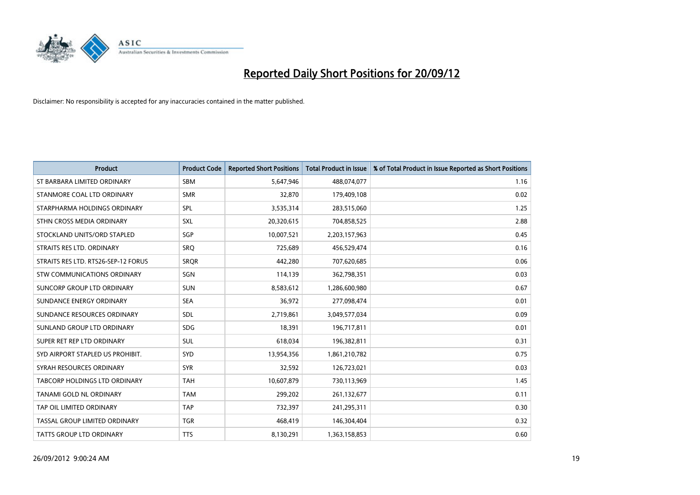

| <b>Product</b>                      | <b>Product Code</b> | <b>Reported Short Positions</b> | <b>Total Product in Issue</b> | % of Total Product in Issue Reported as Short Positions |
|-------------------------------------|---------------------|---------------------------------|-------------------------------|---------------------------------------------------------|
| ST BARBARA LIMITED ORDINARY         | <b>SBM</b>          | 5,647,946                       | 488,074,077                   | 1.16                                                    |
| STANMORE COAL LTD ORDINARY          | <b>SMR</b>          | 32,870                          | 179,409,108                   | 0.02                                                    |
| STARPHARMA HOLDINGS ORDINARY        | SPL                 | 3,535,314                       | 283,515,060                   | 1.25                                                    |
| STHN CROSS MEDIA ORDINARY           | SXL                 | 20,320,615                      | 704,858,525                   | 2.88                                                    |
| STOCKLAND UNITS/ORD STAPLED         | SGP                 | 10,007,521                      | 2,203,157,963                 | 0.45                                                    |
| STRAITS RES LTD. ORDINARY           | SRO                 | 725,689                         | 456,529,474                   | 0.16                                                    |
| STRAITS RES LTD. RTS26-SEP-12 FORUS | <b>SROR</b>         | 442.280                         | 707,620,685                   | 0.06                                                    |
| STW COMMUNICATIONS ORDINARY         | SGN                 | 114,139                         | 362,798,351                   | 0.03                                                    |
| SUNCORP GROUP LTD ORDINARY          | <b>SUN</b>          | 8,583,612                       | 1,286,600,980                 | 0.67                                                    |
| SUNDANCE ENERGY ORDINARY            | <b>SEA</b>          | 36,972                          | 277,098,474                   | 0.01                                                    |
| SUNDANCE RESOURCES ORDINARY         | <b>SDL</b>          | 2,719,861                       | 3,049,577,034                 | 0.09                                                    |
| SUNLAND GROUP LTD ORDINARY          | <b>SDG</b>          | 18,391                          | 196,717,811                   | 0.01                                                    |
| SUPER RET REP LTD ORDINARY          | <b>SUL</b>          | 618,034                         | 196,382,811                   | 0.31                                                    |
| SYD AIRPORT STAPLED US PROHIBIT.    | <b>SYD</b>          | 13,954,356                      | 1,861,210,782                 | 0.75                                                    |
| SYRAH RESOURCES ORDINARY            | <b>SYR</b>          | 32,592                          | 126,723,021                   | 0.03                                                    |
| TABCORP HOLDINGS LTD ORDINARY       | <b>TAH</b>          | 10,607,879                      | 730,113,969                   | 1.45                                                    |
| TANAMI GOLD NL ORDINARY             | <b>TAM</b>          | 299,202                         | 261,132,677                   | 0.11                                                    |
| TAP OIL LIMITED ORDINARY            | <b>TAP</b>          | 732,397                         | 241,295,311                   | 0.30                                                    |
| TASSAL GROUP LIMITED ORDINARY       | <b>TGR</b>          | 468,419                         | 146,304,404                   | 0.32                                                    |
| <b>TATTS GROUP LTD ORDINARY</b>     | <b>TTS</b>          | 8,130,291                       | 1,363,158,853                 | 0.60                                                    |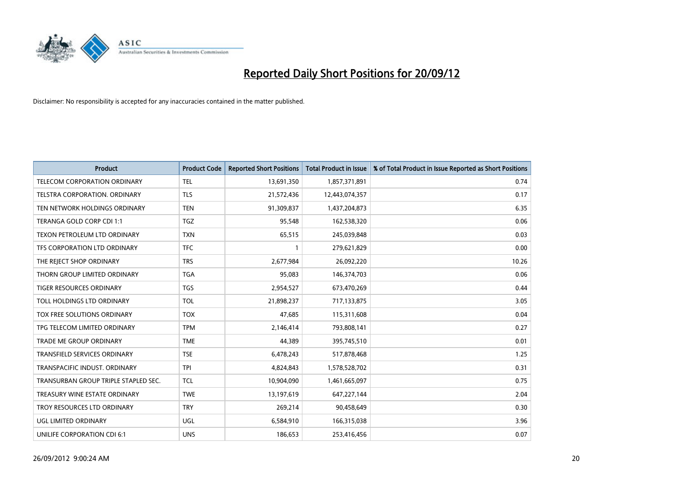

| <b>Product</b>                       | <b>Product Code</b> | <b>Reported Short Positions</b> | <b>Total Product in Issue</b> | % of Total Product in Issue Reported as Short Positions |
|--------------------------------------|---------------------|---------------------------------|-------------------------------|---------------------------------------------------------|
| <b>TELECOM CORPORATION ORDINARY</b>  | <b>TEL</b>          | 13,691,350                      | 1,857,371,891                 | 0.74                                                    |
| TELSTRA CORPORATION. ORDINARY        | <b>TLS</b>          | 21,572,436                      | 12,443,074,357                | 0.17                                                    |
| TEN NETWORK HOLDINGS ORDINARY        | <b>TEN</b>          | 91,309,837                      | 1,437,204,873                 | 6.35                                                    |
| TERANGA GOLD CORP CDI 1:1            | <b>TGZ</b>          | 95,548                          | 162,538,320                   | 0.06                                                    |
| TEXON PETROLEUM LTD ORDINARY         | <b>TXN</b>          | 65,515                          | 245,039,848                   | 0.03                                                    |
| TFS CORPORATION LTD ORDINARY         | <b>TFC</b>          |                                 | 279,621,829                   | 0.00                                                    |
| THE REJECT SHOP ORDINARY             | <b>TRS</b>          | 2,677,984                       | 26,092,220                    | 10.26                                                   |
| THORN GROUP LIMITED ORDINARY         | <b>TGA</b>          | 95,083                          | 146,374,703                   | 0.06                                                    |
| TIGER RESOURCES ORDINARY             | <b>TGS</b>          | 2,954,527                       | 673,470,269                   | 0.44                                                    |
| TOLL HOLDINGS LTD ORDINARY           | <b>TOL</b>          | 21,898,237                      | 717,133,875                   | 3.05                                                    |
| TOX FREE SOLUTIONS ORDINARY          | <b>TOX</b>          | 47,685                          | 115,311,608                   | 0.04                                                    |
| TPG TELECOM LIMITED ORDINARY         | <b>TPM</b>          | 2,146,414                       | 793,808,141                   | 0.27                                                    |
| <b>TRADE ME GROUP ORDINARY</b>       | <b>TME</b>          | 44,389                          | 395,745,510                   | 0.01                                                    |
| <b>TRANSFIELD SERVICES ORDINARY</b>  | <b>TSE</b>          | 6,478,243                       | 517,878,468                   | 1.25                                                    |
| TRANSPACIFIC INDUST, ORDINARY        | <b>TPI</b>          | 4,824,843                       | 1,578,528,702                 | 0.31                                                    |
| TRANSURBAN GROUP TRIPLE STAPLED SEC. | <b>TCL</b>          | 10,904,090                      | 1,461,665,097                 | 0.75                                                    |
| TREASURY WINE ESTATE ORDINARY        | <b>TWE</b>          | 13,197,619                      | 647,227,144                   | 2.04                                                    |
| TROY RESOURCES LTD ORDINARY          | <b>TRY</b>          | 269,214                         | 90,458,649                    | 0.30                                                    |
| UGL LIMITED ORDINARY                 | UGL                 | 6,584,910                       | 166,315,038                   | 3.96                                                    |
| UNILIFE CORPORATION CDI 6:1          | <b>UNS</b>          | 186,653                         | 253,416,456                   | 0.07                                                    |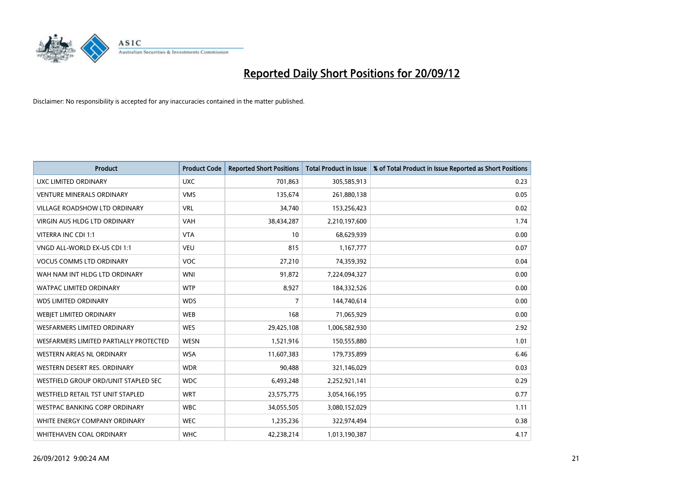

| <b>Product</b>                         | <b>Product Code</b> | <b>Reported Short Positions</b> | <b>Total Product in Issue</b> | % of Total Product in Issue Reported as Short Positions |
|----------------------------------------|---------------------|---------------------------------|-------------------------------|---------------------------------------------------------|
| <b>UXC LIMITED ORDINARY</b>            | <b>UXC</b>          | 701,863                         | 305,585,913                   | 0.23                                                    |
| <b>VENTURE MINERALS ORDINARY</b>       | <b>VMS</b>          | 135,674                         | 261,880,138                   | 0.05                                                    |
| <b>VILLAGE ROADSHOW LTD ORDINARY</b>   | <b>VRL</b>          | 34,740                          | 153,256,423                   | 0.02                                                    |
| VIRGIN AUS HLDG LTD ORDINARY           | <b>VAH</b>          | 38,434,287                      | 2,210,197,600                 | 1.74                                                    |
| VITERRA INC CDI 1:1                    | <b>VTA</b>          | 10                              | 68,629,939                    | 0.00                                                    |
| VNGD ALL-WORLD EX-US CDI 1:1           | <b>VEU</b>          | 815                             | 1,167,777                     | 0.07                                                    |
| <b>VOCUS COMMS LTD ORDINARY</b>        | <b>VOC</b>          | 27,210                          | 74,359,392                    | 0.04                                                    |
| WAH NAM INT HLDG LTD ORDINARY          | <b>WNI</b>          | 91,872                          | 7,224,094,327                 | 0.00                                                    |
| <b>WATPAC LIMITED ORDINARY</b>         | <b>WTP</b>          | 8,927                           | 184,332,526                   | 0.00                                                    |
| <b>WDS LIMITED ORDINARY</b>            | <b>WDS</b>          | 7                               | 144,740,614                   | 0.00                                                    |
| WEBIET LIMITED ORDINARY                | WEB                 | 168                             | 71,065,929                    | 0.00                                                    |
| <b>WESFARMERS LIMITED ORDINARY</b>     | <b>WES</b>          | 29,425,108                      | 1,006,582,930                 | 2.92                                                    |
| WESFARMERS LIMITED PARTIALLY PROTECTED | <b>WESN</b>         | 1,521,916                       | 150,555,880                   | 1.01                                                    |
| <b>WESTERN AREAS NL ORDINARY</b>       | <b>WSA</b>          | 11,607,383                      | 179,735,899                   | 6.46                                                    |
| WESTERN DESERT RES. ORDINARY           | <b>WDR</b>          | 90.488                          | 321,146,029                   | 0.03                                                    |
| WESTFIELD GROUP ORD/UNIT STAPLED SEC   | <b>WDC</b>          | 6,493,248                       | 2,252,921,141                 | 0.29                                                    |
| WESTFIELD RETAIL TST UNIT STAPLED      | <b>WRT</b>          | 23,575,775                      | 3,054,166,195                 | 0.77                                                    |
| WESTPAC BANKING CORP ORDINARY          | <b>WBC</b>          | 34,055,505                      | 3,080,152,029                 | 1.11                                                    |
| WHITE ENERGY COMPANY ORDINARY          | <b>WEC</b>          | 1,235,236                       | 322,974,494                   | 0.38                                                    |
| WHITEHAVEN COAL ORDINARY               | <b>WHC</b>          | 42,238,214                      | 1,013,190,387                 | 4.17                                                    |